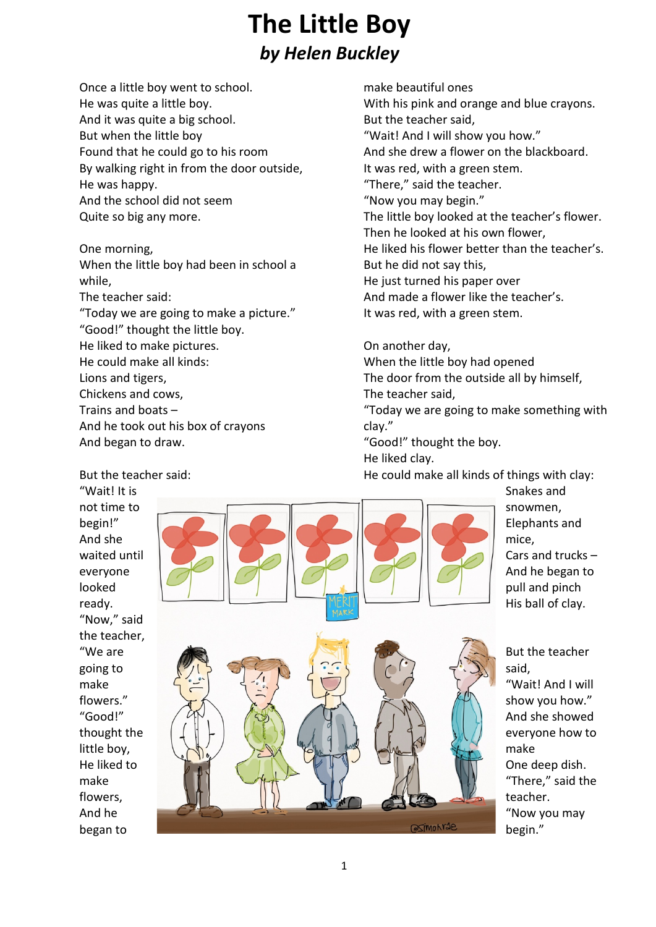# **The Little Boy** *by Helen Buckley*

Once a little boy went to school. He was quite a little boy. And it was quite a big school. But when the little boy Found that he could go to his room By walking right in from the door outside, He was happy. And the school did not seem Quite so big any more.

One morning, When the little boy had been in school a while, The teacher said: "Today we are going to make a picture." "Good!" thought the little boy. He liked to make pictures. He could make all kinds: Lions and tigers, Chickens and cows, Trains and boats – And he took out his box of crayons And began to draw.

make beautiful ones With his pink and orange and blue crayons. But the teacher said, "Wait! And I will show you how." And she drew a flower on the blackboard. It was red, with a green stem. "There," said the teacher. "Now you may begin." The little boy looked at the teacher's flower. Then he looked at his own flower, He liked his flower better than the teacher's. But he did not say this, He just turned his paper over And made a flower like the teacher's. It was red, with a green stem.

On another day, When the little boy had opened The door from the outside all by himself, The teacher said,

"Today we are going to make something with clay."

"Good!" thought the boy.

He liked clay.

He could make all kinds of things with clay:

Snakes and snowmen, Elephants and mice, Cars and trucks – And he began to pull and pinch His ball of clay.

But the teacher said, "Wait! And I will show you how." And she showed everyone how to make One deep dish. "There," said the teacher. "Now you may

not time to begin!" And she waited until everyone looked ready. "Now," said the teacher, "We are going to make flowers." "Good!" thought the little boy, He liked to make flowers, And he began to



# But the teacher said: "Wait! It is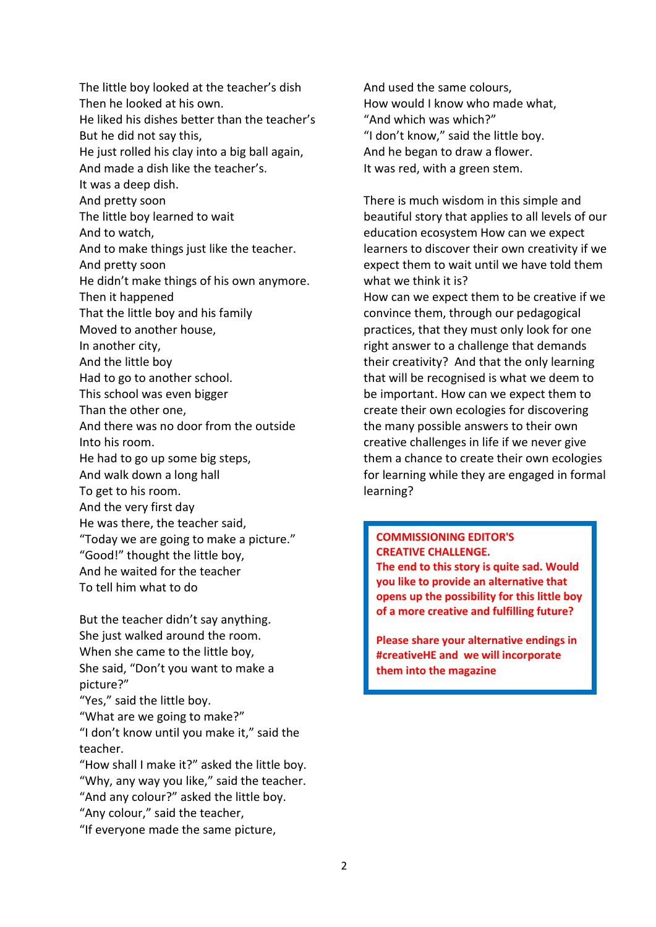The little boy looked at the teacher's dish Then he looked at his own. He liked his dishes better than the teacher's But he did not say this, He just rolled his clay into a big ball again, And made a dish like the teacher's. It was a deep dish. And pretty soon The little boy learned to wait And to watch, And to make things just like the teacher. And pretty soon He didn't make things of his own anymore. Then it happened That the little boy and his family Moved to another house, In another city, And the little boy Had to go to another school. This school was even bigger Than the other one, And there was no door from the outside Into his room. He had to go up some big steps, And walk down a long hall To get to his room. And the very first day He was there, the teacher said, "Today we are going to make a picture." "Good!" thought the little boy, And he waited for the teacher To tell him what to do

But the teacher didn't say anything. She just walked around the room. When she came to the little boy, She said, "Don't you want to make a picture?"

"Yes," said the little boy.

"What are we going to make?"

"I don't know until you make it," said the teacher.

"How shall I make it?" asked the little boy. "Why, any way you like," said the teacher. "And any colour?" asked the little boy.

- "Any colour," said the teacher,
- "If everyone made the same picture,

And used the same colours, How would I know who made what, "And which was which?" "I don't know," said the little boy. And he began to draw a flower. It was red, with a green stem.

There is much wisdom in this simple and beautiful story that applies to all levels of our education ecosystem How can we expect learners to discover their own creativity if we expect them to wait until we have told them what we think it is?

How can we expect them to be creative if we convince them, through our pedagogical practices, that they must only look for one right answer to a challenge that demands their creativity? And that the only learning that will be recognised is what we deem to be important. How can we expect them to create their own ecologies for discovering the many possible answers to their own creative challenges in life if we never give them a chance to create their own ecologies for learning while they are engaged in formal learning?

#### **COMMISSIONING EDITOR'S CREATIVE CHALLENGE.**

**The end to this story is quite sad. Would you like to provide an alternative that opens up the possibility for this little boy of a more creative and fulfilling future?**

**Please share your alternative endings in #creativeHE and we will incorporate them into the magazine**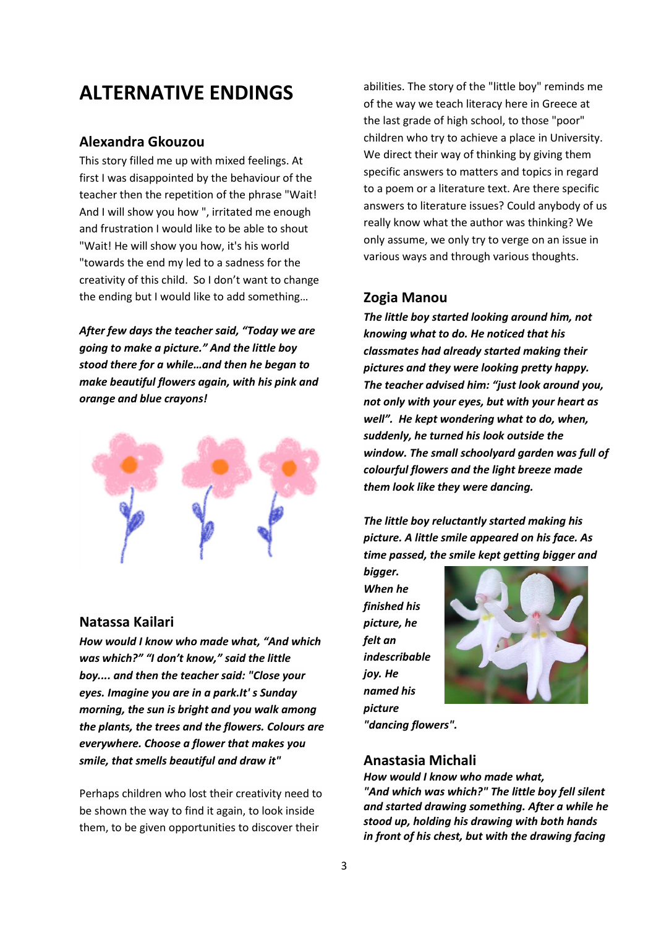# **ALTERNATIVE ENDINGS**

# **Alexandra Gkouzou**

This story filled me up with mixed feelings. At first I was disappointed by the behaviour of the teacher then the repetition of the phrase "Wait! And I will show you how ", irritated me enough and frustration I would like to be able to shout "Wait! He will show you how, it's his world "towards the end my led to a sadness for the creativity of this child. So I don't want to change the ending but I would like to add something…

*After few days the teacher said, "Today we are going to make a picture." And the little boy stood there for a while…and then he began to make beautiful flowers again, with his pink and orange and blue crayons!*



# **Natassa Kailari**

*How would I know who made what, "And which was which?" "I don't know," said the little boy.... and then the teacher said: "Close your eyes. Imagine you are in a park.It' s Sunday morning, the sun is bright and you walk among the plants, the trees and the flowers. Colours are everywhere. Choose a flower that makes you smile, that smells beautiful and draw it"*

Perhaps children who lost their creativity need to be shown the way to find it again, to look inside them, to be given opportunities to discover their

abilities. The story of the "little boy" reminds me of the way we teach literacy here in Greece at the last grade of high school, to those "poor" children who try to achieve a place in University. We direct their way of thinking by giving them specific answers to matters and topics in regard to a poem or a literature text. Are there specific answers to literature issues? Could anybody of us really know what the author was thinking? We only assume, we only try to verge on an issue in various ways and through various thoughts.

# **Zogia Manou**

*The little boy started looking around him, not knowing what to do. He noticed that his classmates had already started making their pictures and they were looking pretty happy. The teacher advised him: "just look around you, not only with your eyes, but with your heart as well". He kept wondering what to do, when, suddenly, he turned his look outside the window. The small schoolyard garden was full of colourful flowers and the light breeze made them look like they were dancing.* 

*The little boy reluctantly started making his picture. A little smile appeared on his face. As time passed, the smile kept getting bigger and* 

*bigger. When he finished his picture, he felt an indescribable joy. He named his picture* 



*"dancing flowers".*

#### **[Anastasia Michali](https://plus.google.com/104812753048586633117)**

*How would I know who made what, "And which was which?" The little boy fell silent and started drawing something. After a while he stood up, holding his drawing with both hands in front of his chest, but with the drawing facing*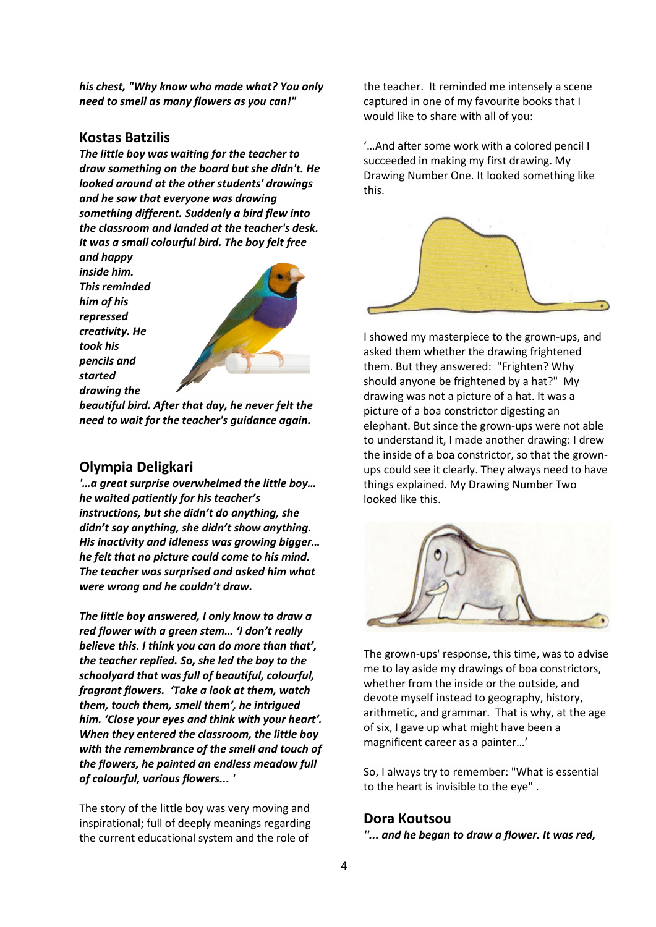*his chest, "Why know who made what? You only need to smell as many flowers as you can!"*

#### **Kostas Batzilis**

*The little boy was waiting for the teacher to draw something on the board but she didn't. He looked around at the other students' drawings and he saw that everyone was drawing something different. Suddenly a bird flew into the classroom and landed at the teacher's desk. It was a small colourful bird. The boy felt free* 

*and happy inside him. This reminded him of his repressed creativity. He took his pencils and started drawing the* 



*beautiful bird. After that day, he never felt the need to wait for the teacher's guidance again.*

# **[Olympia Deligkari](https://plus.google.com/109277739948468549680)**

*'…a great surprise overwhelmed the little boy… he waited patiently for his teacher's instructions, but she didn't do anything, she didn't say anything, she didn't show anything. His inactivity and idleness was growing bigger… he felt that no picture could come to his mind. The teacher was surprised and asked him what were wrong and he couldn't draw.*

*The little boy answered, I only know to draw a red flower with a green stem… 'I don't really believe this. I think you can do more than that', the teacher replied. So, she led the boy to the schoolyard that was full of beautiful, colourful, fragrant flowers. 'Take a look at them, watch them, touch them, smell them', he intrigued him. 'Close your eyes and think with your heart'. When they entered the classroom, the little boy with the remembrance of the smell and touch of the flowers, he painted an endless meadow full of colourful, various flowers... '*

The story of the little boy was very moving and inspirational; full of deeply meanings regarding the current educational system and the role of

the teacher. It reminded me intensely a scene captured in one of my favourite books that I would like to share with all of you:

'…And after some work with a colored pencil I succeeded in making my first drawing. My Drawing Number One. It looked something like this.



I showed my masterpiece to the grown-ups, and asked them whether the drawing frightened them. But they answered: "Frighten? Why should anyone be frightened by a hat?" My drawing was not a picture of a hat. It was a picture of a boa constrictor digesting an elephant. But since the grown-ups were not able to understand it, I made another drawing: I drew the inside of a boa constrictor, so that the grownups could see it clearly. They always need to have things explained. My Drawing Number Two looked like this.



The grown-ups' response, this time, was to advise me to lay aside my drawings of boa constrictors, whether from the inside or the outside, and devote myself instead to geography, history, arithmetic, and grammar. That is why, at the age of six, I gave up what might have been a magnificent career as a painter…'

So, I always try to remember: "What is essential to the heart is invisible to the eye" .

#### **[Dora Koutsou](https://plus.google.com/113519552435152062065)**

*''... and he began to draw a flower. It was red,*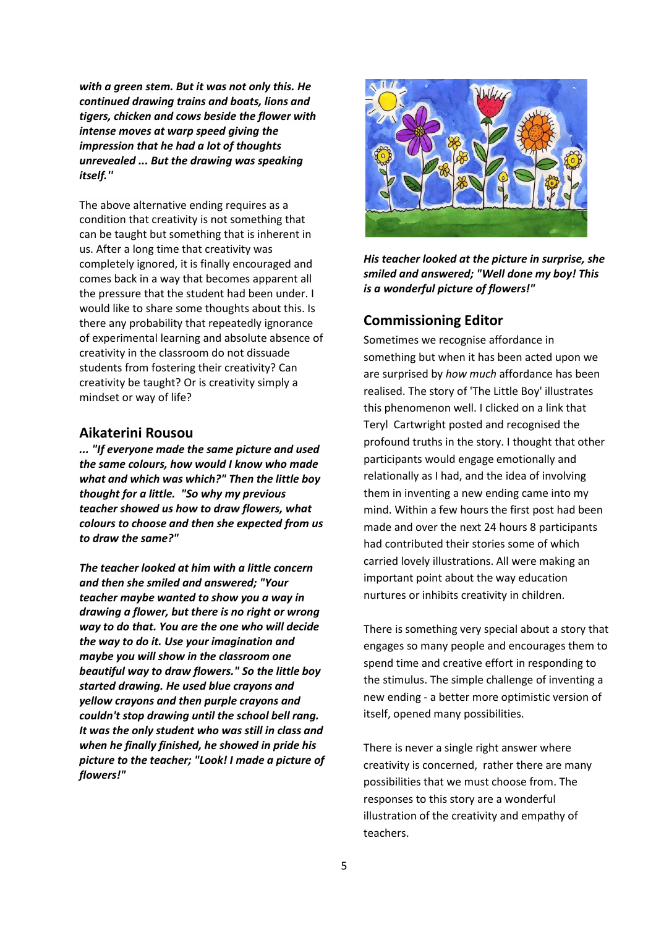*with a green stem. But it was not only this. He continued drawing trains and boats, lions and tigers, chicken and cows beside the flower with intense moves at warp speed giving the impression that he had a lot of thoughts unrevealed ... But the drawing was speaking itself.''*

The above alternative ending requires as a condition that creativity is not something that can be taught but something that is inherent in us. After a long time that creativity was completely ignored, it is finally encouraged and comes back in a way that becomes apparent all the pressure that the student had been under. I would like to share some thoughts about this. Is there any probability that repeatedly ignorance of experimental learning and absolute absence of creativity in the classroom do not dissuade students from fostering their creativity? Can creativity be taught? Or is creativity simply a mindset or way of life?

#### **Aikaterini Rousou**

*... "If everyone made the same picture and used the same colours, how would I know who made what and which was which?" Then the little boy thought for a little. "So why my previous teacher showed us how to draw flowers, what colours to choose and then she expected from us to draw the same?"*

*The teacher looked at him with a little concern and then she smiled and answered; "Your teacher maybe wanted to show you a way in drawing a flower, but there is no right or wrong way to do that. You are the one who will decide the way to do it. Use your imagination and maybe you will show in the classroom one beautiful way to draw flowers." So the little boy started drawing. He used blue crayons and yellow crayons and then purple crayons and couldn't stop drawing until the school bell rang. It was the only student who was still in class and when he finally finished, he showed in pride his picture to the teacher; "Look! I made a picture of flowers!"*



*His teacher looked at the picture in surprise, she smiled and answered; "Well done my boy! This is a wonderful picture of flowers!"*

# **Commissioning Editor**

Sometimes we recognise affordance in something but when it has been acted upon we are surprised by *how much* affordance has been realised. The story of 'The Little Boy' illustrates this phenomenon well. I clicked on a link that Teryl Cartwright posted and recognised the profound truths in the story. I thought that other participants would engage emotionally and relationally as I had, and the idea of involving them in inventing a new ending came into my mind. Within a few hours the first post had been made and over the next 24 hours 8 participants had contributed their stories some of which carried lovely illustrations. All were making an important point about the way education nurtures or inhibits creativity in children.

There is something very special about a story that engages so many people and encourages them to spend time and creative effort in responding to the stimulus. The simple challenge of inventing a new ending - a better more optimistic version of itself, opened many possibilities.

There is never a single right answer where creativity is concerned, rather there are many possibilities that we must choose from. The responses to this story are a wonderful illustration of the creativity and empathy of teachers.